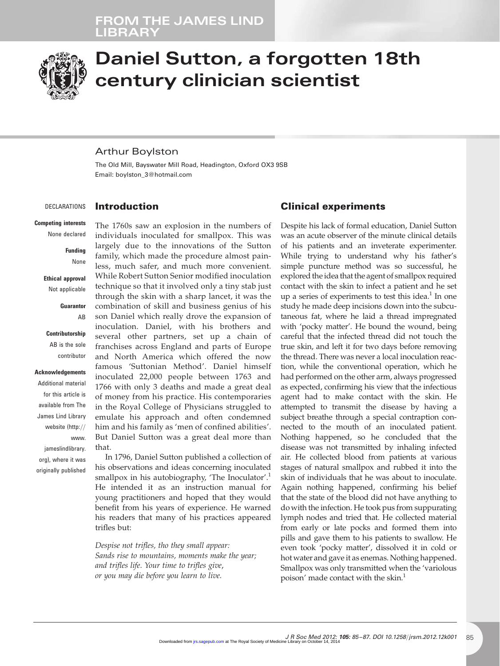# FROM THE JAMES LIND LIBRARY



# Daniel Sutton, a forgotten 18th century clinician scientist

## Arthur Boylston

The Old Mill, Bayswater Mill Road, Headington, Oxford OX3 9SB Email: [boylston\\_3@hotmail.com](mailto:boylston_3@hotmail.com)

**DECLARATIONS** 

#### Introduction

Competing interests None declared

> Funding None

Ethical approval Not applicable

**Guarantor** 

AB

**Contributorship** 

AB is the sole contributor

#### Acknowledgements

Additional material for this article is available from The James Lind Library website [\(http:](http://www.jameslindlibrary.org)// [www.](http://www.jameslindlibrary.org) [jameslindlibrary.](http://www.jameslindlibrary.org) [org\)](http://www.jameslindlibrary.org), where it was originally published

The 1760s saw an explosion in the numbers of individuals inoculated for smallpox. This was largely due to the innovations of the Sutton family, which made the procedure almost painless, much safer, and much more convenient. While Robert Sutton Senior modified inoculation technique so that it involved only a tiny stab just through the skin with a sharp lancet, it was the combination of skill and business genius of his son Daniel which really drove the expansion of inoculation. Daniel, with his brothers and several other partners, set up a chain of franchises across England and parts of Europe and North America which offered the now famous 'Suttonian Method'. Daniel himself inoculated 22,000 people between 1763 and 1766 with only 3 deaths and made a great deal of money from his practice. His contemporaries in the Royal College of Physicians struggled to emulate his approach and often condemned him and his family as 'men of confined abilities'. But Daniel Sutton was a great deal more than that.

In 1796, Daniel Sutton published a collection of his observations and ideas concerning inoculated smallpox in his autobiography, 'The Inoculator'.<sup>1</sup> He intended it as an instruction manual for young practitioners and hoped that they would benefit from his years of experience. He warned his readers that many of his practices appeared trifles but:

Despise not trifles, tho they small appear: Sands rise to mountains, moments make the year; and trifles life. Your time to trifles give, or you may die before you learn to live.

# Clinical experiments

Despite his lack of formal education, Daniel Sutton was an acute observer of the minute clinical details of his patients and an inveterate experimenter. While trying to understand why his father's simple puncture method was so successful, he explored theidea that the agent of smallpox required contact with the skin to infect a patient and he set up a series of experiments to test this idea. $<sup>1</sup>$  In one</sup> study he made deep incisions down into the subcutaneous fat, where he laid a thread impregnated with 'pocky matter'. He bound the wound, being careful that the infected thread did not touch the true skin, and left it for two days before removing the thread. There was never a local inoculation reaction, while the conventional operation, which he had performed on the other arm, always progressed as expected, confirming his view that the infectious agent had to make contact with the skin. He attempted to transmit the disease by having a subject breathe through a special contraption connected to the mouth of an inoculated patient. Nothing happened, so he concluded that the disease was not transmitted by inhaling infected air. He collected blood from patients at various stages of natural smallpox and rubbed it into the skin of individuals that he was about to inoculate. Again nothing happened, confirming his belief that the state of the blood did not have anything to do with the infection. He took pus from suppurating lymph nodes and tried that. He collected material from early or late pocks and formed them into pills and gave them to his patients to swallow. He even took 'pocky matter', dissolved it in cold or hot water and gave it as enemas. Nothing happened. Smallpox was only transmitted when the 'variolous poison' made contact with the skin.<sup>1</sup>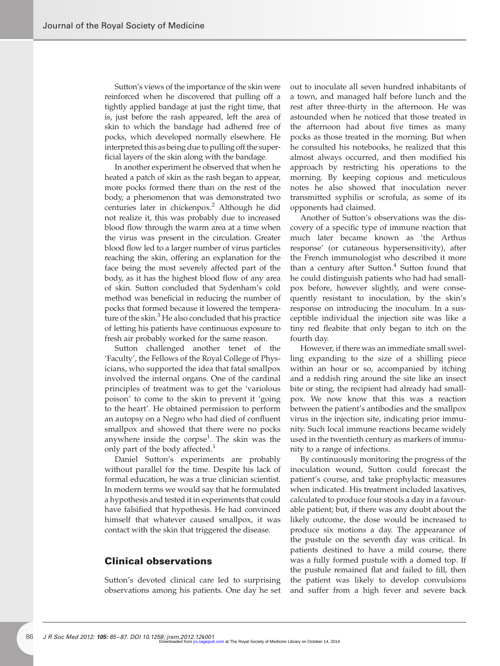Sutton's views of the importance of the skin were reinforced when he discovered that pulling off a tightly applied bandage at just the right time, that is, just before the rash appeared, left the area of skin to which the bandage had adhered free of pocks, which developed normally elsewhere. He interpreted this as being due to pulling off the superficial layers of the skin along with the bandage.

In another experiment he observed that when he heated a patch of skin as the rash began to appear, more pocks formed there than on the rest of the body, a phenomenon that was demonstrated two centuries later in chickenpox.<sup>2</sup> Although he did not realize it, this was probably due to increased blood flow through the warm area at a time when the virus was present in the circulation. Greater blood flow led to a larger number of virus particles reaching the skin, offering an explanation for the face being the most severely affected part of the body, as it has the highest blood flow of any area of skin. Sutton concluded that Sydenham's cold method was beneficial in reducing the number of pocks that formed because it lowered the temperature of the skin.<sup>3</sup> He also concluded that his practice of letting his patients have continuous exposure to fresh air probably worked for the same reason.

Sutton challenged another tenet of the 'Faculty', the Fellows of the Royal College of Physicians, who supported the idea that fatal smallpox involved the internal organs. One of the cardinal principles of treatment was to get the 'variolous poison' to come to the skin to prevent it 'going to the heart'. He obtained permission to perform an autopsy on a Negro who had died of confluent smallpox and showed that there were no pocks anywhere inside the corpse<sup>1</sup>. The skin was the only part of the body affected.<sup>1</sup>

Daniel Sutton's experiments are probably without parallel for the time. Despite his lack of formal education, he was a true clinician scientist. In modern terms we would say that he formulated a hypothesis and tested it in experiments that could have falsified that hypothesis. He had convinced himself that whatever caused smallpox, it was contact with the skin that triggered the disease.

### Clinical observations

Sutton's devoted clinical care led to surprising observations among his patients. One day he set out to inoculate all seven hundred inhabitants of a town, and managed half before lunch and the rest after three-thirty in the afternoon. He was astounded when he noticed that those treated in the afternoon had about five times as many pocks as those treated in the morning. But when he consulted his notebooks, he realized that this almost always occurred, and then modified his approach by restricting his operations to the morning. By keeping copious and meticulous notes he also showed that inoculation never transmitted syphilis or scrofula, as some of its opponents had claimed.

Another of Sutton's observations was the discovery of a specific type of immune reaction that much later became known as 'the Arthus response' (or cutaneous hypersensitivity), after the French immunologist who described it more than a century after Sutton. $4$  Sutton found that he could distinguish patients who had had smallpox before, however slightly, and were consequently resistant to inoculation, by the skin's response on introducing the inoculum. In a susceptible individual the injection site was like a tiny red fleabite that only began to itch on the fourth day.

However, if there was an immediate small swelling expanding to the size of a shilling piece within an hour or so, accompanied by itching and a reddish ring around the site like an insect bite or sting, the recipient had already had smallpox. We now know that this was a reaction between the patient's antibodies and the smallpox virus in the injection site, indicating prior immunity. Such local immune reactions became widely used in the twentieth century as markers of immunity to a range of infections.

By continuously monitoring the progress of the inoculation wound, Sutton could forecast the patient's course, and take prophylactic measures when indicated. His treatment included laxatives, calculated to produce four stools a day in a favourable patient; but, if there was any doubt about the likely outcome, the dose would be increased to produce six motions a day. The appearance of the pustule on the seventh day was critical. In patients destined to have a mild course, there was a fully formed pustule with a domed top. If the pustule remained flat and failed to fill, then the patient was likely to develop convulsions and suffer from a high fever and severe back